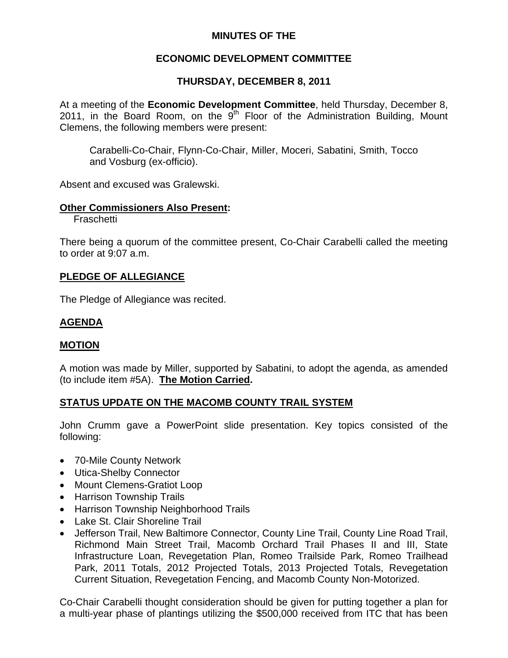## **MINUTES OF THE**

## **ECONOMIC DEVELOPMENT COMMITTEE**

# **THURSDAY, DECEMBER 8, 2011**

At a meeting of the **Economic Development Committee**, held Thursday, December 8, 2011, in the Board Room, on the  $9<sup>th</sup>$  Floor of the Administration Building, Mount Clemens, the following members were present:

Carabelli-Co-Chair, Flynn-Co-Chair, Miller, Moceri, Sabatini, Smith, Tocco and Vosburg (ex-officio).

Absent and excused was Gralewski.

#### **Other Commissioners Also Present:**

Fraschetti

There being a quorum of the committee present, Co-Chair Carabelli called the meeting to order at 9:07 a.m.

## **PLEDGE OF ALLEGIANCE**

The Pledge of Allegiance was recited.

# **AGENDA**

## **MOTION**

A motion was made by Miller, supported by Sabatini, to adopt the agenda, as amended (to include item #5A). **The Motion Carried.** 

## **STATUS UPDATE ON THE MACOMB COUNTY TRAIL SYSTEM**

John Crumm gave a PowerPoint slide presentation. Key topics consisted of the following:

- 70-Mile County Network
- Utica-Shelby Connector
- Mount Clemens-Gratiot Loop
- Harrison Township Trails
- Harrison Township Neighborhood Trails
- Lake St. Clair Shoreline Trail
- Jefferson Trail, New Baltimore Connector, County Line Trail, County Line Road Trail, Richmond Main Street Trail, Macomb Orchard Trail Phases II and III, State Infrastructure Loan, Revegetation Plan, Romeo Trailside Park, Romeo Trailhead Park, 2011 Totals, 2012 Projected Totals, 2013 Projected Totals, Revegetation Current Situation, Revegetation Fencing, and Macomb County Non-Motorized.

Co-Chair Carabelli thought consideration should be given for putting together a plan for a multi-year phase of plantings utilizing the \$500,000 received from ITC that has been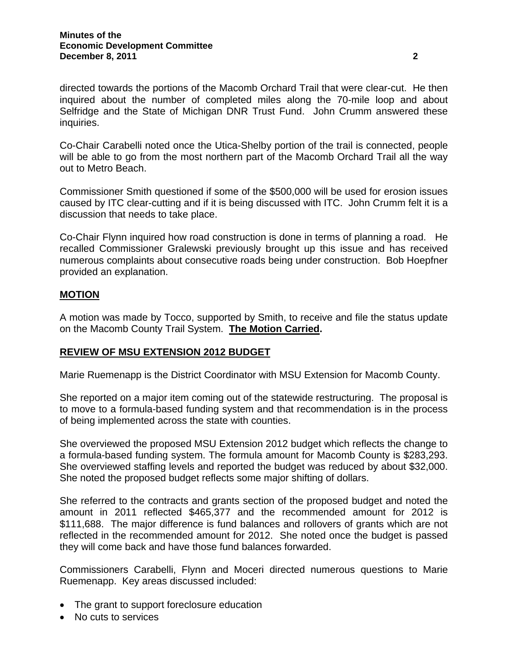directed towards the portions of the Macomb Orchard Trail that were clear-cut. He then inquired about the number of completed miles along the 70-mile loop and about Selfridge and the State of Michigan DNR Trust Fund. John Crumm answered these inquiries.

Co-Chair Carabelli noted once the Utica-Shelby portion of the trail is connected, people will be able to go from the most northern part of the Macomb Orchard Trail all the way out to Metro Beach.

Commissioner Smith questioned if some of the \$500,000 will be used for erosion issues caused by ITC clear-cutting and if it is being discussed with ITC. John Crumm felt it is a discussion that needs to take place.

Co-Chair Flynn inquired how road construction is done in terms of planning a road. He recalled Commissioner Gralewski previously brought up this issue and has received numerous complaints about consecutive roads being under construction. Bob Hoepfner provided an explanation.

# **MOTION**

A motion was made by Tocco, supported by Smith, to receive and file the status update on the Macomb County Trail System. **The Motion Carried.** 

## **REVIEW OF MSU EXTENSION 2012 BUDGET**

Marie Ruemenapp is the District Coordinator with MSU Extension for Macomb County.

She reported on a major item coming out of the statewide restructuring. The proposal is to move to a formula-based funding system and that recommendation is in the process of being implemented across the state with counties.

She overviewed the proposed MSU Extension 2012 budget which reflects the change to a formula-based funding system. The formula amount for Macomb County is \$283,293. She overviewed staffing levels and reported the budget was reduced by about \$32,000. She noted the proposed budget reflects some major shifting of dollars.

She referred to the contracts and grants section of the proposed budget and noted the amount in 2011 reflected \$465,377 and the recommended amount for 2012 is \$111,688. The major difference is fund balances and rollovers of grants which are not reflected in the recommended amount for 2012. She noted once the budget is passed they will come back and have those fund balances forwarded.

Commissioners Carabelli, Flynn and Moceri directed numerous questions to Marie Ruemenapp. Key areas discussed included:

- The grant to support foreclosure education
- No cuts to services